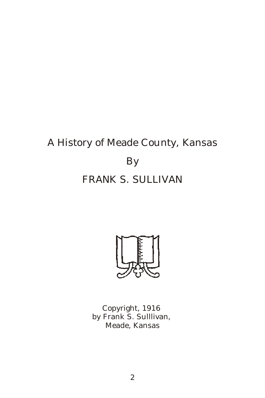# A History of Meade County, Kansas By FRANK S. SULLIVAN



Copyright, 1916 by Frank S. Sulllivan, Meade, Kansas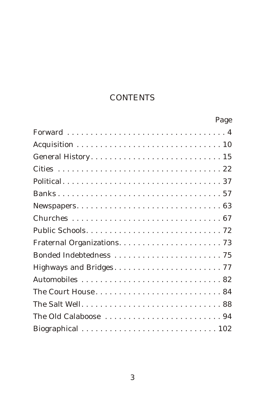## **CONTENTS**

| Page |
|------|
|      |
|      |
|      |
|      |
|      |
|      |
|      |
|      |
|      |
|      |
|      |
|      |
|      |
|      |
|      |
|      |
|      |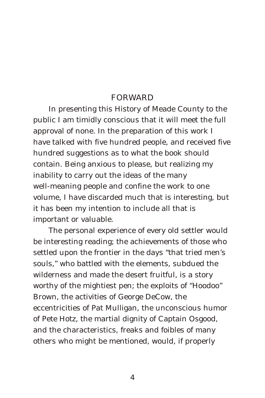#### FORWARD

In presenting this History of Meade County to the public I am timidly conscious that it will meet the full approval of none. In the preparation of this work I have talked with five hundred people, and received five hundred suggestions as to what the book should contain. Being anxious to please, but realizing my inability to carry out the ideas of the many well-meaning people and confine the work to one volume, I have discarded much that is interesting, but it has been my intention to include all that is important or valuable.

The personal experience of every old settler would be interesting reading; the achievements of those who settled upon the frontier in the days "that tried men's souls," who battled with the elements, subdued the wilderness and made the desert fruitful, is a story worthy of the mightiest pen; the exploits of "Hoodoo" Brown, the activities of George DeCow, the eccentricities of Pat Mulligan, the unconscious humor of Pete Hotz, the martial dignity of Captain Osgood, and the characteristics, freaks and foibles of many others who might be mentioned, would, if properly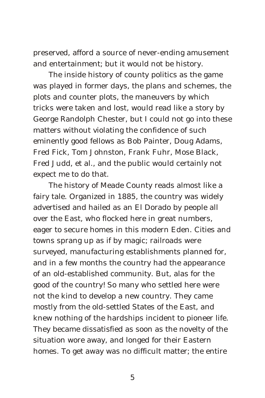preserved, afford a source of never-ending amusement and entertainment; but it would not be history.

The inside history of county politics as the game was played in former days, the plans and schemes, the plots and counter plots, the maneuvers by which tricks were taken and lost, would read like a story by George Randolph Chester, but I could not go into these matters without violating the confidence of such eminently good fellows as Bob Painter, Doug Adams, Fred Fick, Tom Johnston, Frank Fuhr, Mose Black, Fred Judd, et al., and the public would certainly not expect me to do that.

The history of Meade County reads almost like a fairy tale. Organized in 1885, the country was widely advertised and hailed as an El Dorado by people all over the East, who flocked here in great numbers, eager to secure homes in this modern Eden. Cities and towns sprang up as if by magic; railroads were surveyed, manufacturing establishments planned for, and in a few months the country had the appearance of an old-established community. But, alas for the good of the country! So many who settled here were not the kind to develop a new country. They came mostly from the old-settled States of the East, and knew nothing of the hardships incident to pioneer life. They became dissatisfied as soon as the novelty of the situation wore away, and longed for their Eastern homes. To get away was no difficult matter; the entire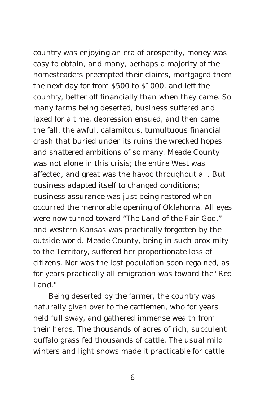country was enjoying an era of prosperity, money was easy to obtain, and many, perhaps a majority of the homesteaders preempted their claims, mortgaged them the next day for from \$500 to \$1000, and left the country, better off financially than when they came. So many farms being deserted, business suffered and laxed for a time, depression ensued, and then came the fall, the awful, calamitous, tumultuous financial crash that buried under its ruins the wrecked hopes and shattered ambitions of so many. Meade County was not alone in this crisis; the entire West was affected, and great was the havoc throughout all. But business adapted itself to changed conditions; business assurance was just being restored when occurred the memorable opening of Oklahoma. All eyes were now turned toward "The Land of the Fair God," and western Kansas was practically forgotten by the outside world. Meade County, being in such proximity to the Territory, suffered her proportionate loss of citizens. Nor was the lost population soon regained, as for years practically all emigration was toward the" Red Land<sup>"</sup>

Being deserted by the farmer, the country was naturally given over to the cattlemen, who for years held full sway, and gathered immense wealth from their herds. The thousands of acres of rich, succulent buffalo grass fed thousands of cattle. The usual mild winters and light snows made it practicable for cattle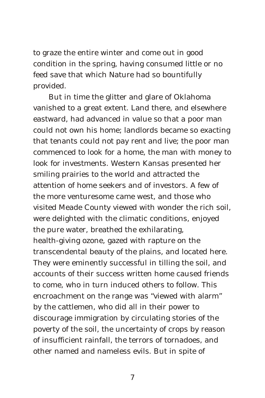to graze the entire winter and come out in good condition in the spring, having consumed little or no feed save that which Nature had so bountifully provided.

But in time the glitter and glare of Oklahoma vanished to a great extent. Land there, and elsewhere eastward, had advanced in value so that a poor man could not own his home; landlords became so exacting that tenants could not pay rent and live; the poor man commenced to look for a home, the man with money to look for investments. Western Kansas presented her smiling prairies to the world and attracted the attention of home seekers and of investors. A few of the more venturesome came west, and those who visited Meade County viewed with wonder the rich soil, were delighted with the climatic conditions, enjoyed the pure water, breathed the exhilarating, health-giving ozone, gazed with rapture on the transcendental beauty of the plains, and located here. They were eminently successful in tilling the soil, and accounts of their success written home caused friends to come, who in turn induced others to follow. This encroachment on the range was "viewed with alarm" by the cattlemen, who did all in their power to discourage immigration by circulating stories of the poverty of the soil, the uncertainty of crops by reason of insufficient rainfall, the terrors of tornadoes, and other named and nameless evils. But in spite of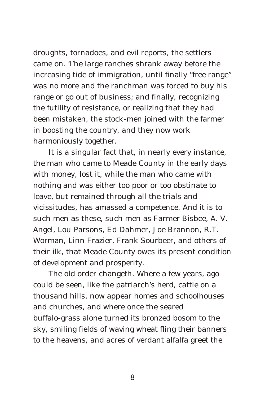droughts, tornadoes, and evil reports, the settlers came on. 'I'he large ranches shrank away before the increasing tide of immigration, until finally "free range" was no more and the ranchman was forced to buy his range or go out of business; and finally, recognizing the futility of resistance, or realizing that they had been mistaken, the stock-men joined with the farmer in boosting the country, and they now work harmoniously together.

It is a singular fact that, in nearly every instance, the man who came to Meade County in the early days with money, lost it, while the man who came with nothing and was either too poor or too obstinate to leave, but remained through all the trials and vicissitudes, has amassed a competence. And it is to such men as these, such men as Farmer Bisbee, A. V. Angel, Lou Parsons, Ed Dahmer, Joe Brannon, R.T. Worman, Linn Frazier, Frank Sourbeer, and others of their ilk, that Meade County owes its present condition of development and prosperity.

The old order changeth. Where a few years, ago could be seen, like the patriarch's herd, cattle on a thousand hills, now appear homes and schoolhouses and churches, and where once the seared buffalo-grass alone turned its bronzed bosom to the sky, smiling fields of waving wheat fling their banners to the heavens, and acres of verdant alfalfa greet the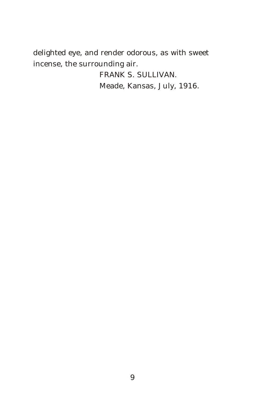delighted eye, and render odorous, as with sweet incense, the surrounding air.

> FRANK S. SULLIVAN. Meade, Kansas, July, 1916.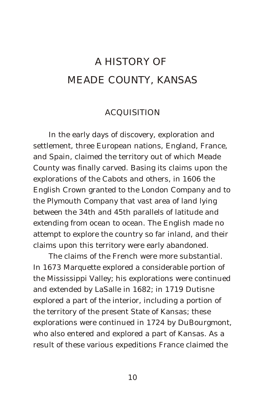## A HISTORY OF MEADE COUNTY, KANSAS

#### ACQUISITION

In the early days of discovery, exploration and settlement, three European nations, England, France, and Spain, claimed the territory out of which Meade County was finally carved. Basing its claims upon the explorations of the Cabots and others, in 1606 the English Crown granted to the London Company and to the Plymouth Company that vast area of land lying between the 34th and 45th parallels of latitude and extending from ocean to ocean. The English made no attempt to explore the country so far inland, and their claims upon this territory were early abandoned.

The claims of the French were more substantial. In 1673 Marquette explored a considerable portion of the Mississippi Valley; his explorations were continued and extended by LaSalle in 1682; in 1719 Dutisne explored a part of the interior, including a portion of the territory of the present State of Kansas; these explorations were continued in 1724 by DuBourgmont, who also entered and explored a part of Kansas. As a result of these various expeditions France claimed the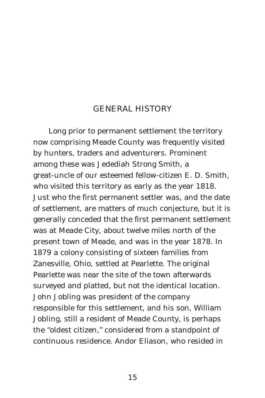#### GENERAL HISTORY

Long prior to permanent settlement the territory now comprising Meade County was frequently visited by hunters, traders and adventurers. Prominent among these was Jedediah Strong Smith, a great-uncle of our esteemed fellow-citizen E. D. Smith, who visited this territory as early as the year 1818. Just who the first permanent settler was, and the date of settlement, are matters of much conjecture, but it is generally conceded that the first permanent settlement was at Meade City, about twelve miles north of the present town of Meade, and was in the year 1878. In 1879 a colony consisting of sixteen families from Zanesville, Ohio, settled at Pearlette. The original Pearlette was near the site of the town afterwards surveyed and platted, but not the identical location. John Jobling was president of the company responsible for this settlement, and his son, William Jobling, still a resident of Meade County, is perhaps the "oldest citizen," considered from a standpoint of continuous residence. Andor Eliason, who resided in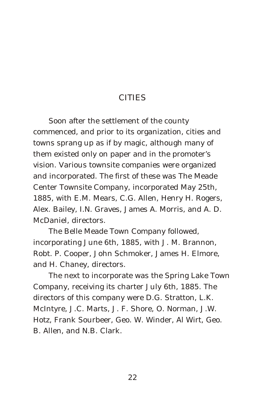#### CITIES

Soon after the settlement of the county commenced, and prior to its organization, cities and towns sprang up as if by magic, although many of them existed only on paper and in the promoter's vision. Various townsite companies were organized and incorporated. The first of these was The Meade Center Townsite Company, incorporated May 25th, 1885, with E.M. Mears, C.G. Allen, Henry H. Rogers, Alex. Bailey, I.N. Graves, James A. Morris, and A. D. McDaniel, directors.

The Belle Meade Town Company followed, incorporating June 6th, 1885, with J. M. Brannon, Robt. P. Cooper, John Schmoker, James H. Elmore, and H. Chaney, directors.

The next to incorporate was the Spring Lake Town Company, receiving its charter July 6th, 1885. The directors of this company were D.G. Stratton, L.K. McIntyre, J.C. Marts, J. F. Shore, O. Norman, J.W. Hotz, Frank Sourbeer, Geo. W. Winder, Al Wirt, Geo. B. Allen, and N.B. Clark.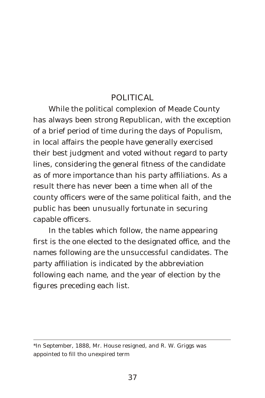#### POLITICAL

While the political complexion of Meade County has always been strong Republican, with the exception of a brief period of time during the days of Populism, in local affairs the people have generally exercised their best judgment and voted without regard to party lines, considering the general fitness of the candidate as of more importance than his party affiliations. As a result there has never been a time when all of the county officers were of the same political faith, and the public has been unusually fortunate in securing capable officers.

In the tables which follow, the name appearing first is the one elected to the designated office, and the names following are the unsuccessful candidates. The party affiliation is indicated by the abbreviation following each name, and the year of election by the figures preceding each list.

<sup>\*</sup>In September, 1888, Mr. House resigned, and R. W. Griggs was appointed to fill tho unexpired term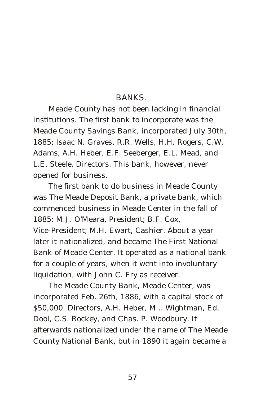#### BANKS.

Meade County has not been lacking in financial institutions. The first bank to incorporate was the Meade County Savings Bank, incorporated July 30th, 1885; Isaac N. Graves, R.R. Wells, H.H. Rogers, C.W. Adams, A.H. Heber, E.F. Seeberger, E.L. Mead, and L.E. Steele, Directors. This bank, however, never opened for business.

The first bank to do business in Meade County was The Meade Deposit Bank, a private bank, which commenced business in Meade Center in the fall of 1885: M.J. O'Meara, President; B.F. Cox, Vice-President; M.H. Ewart, Cashier. About a year later it nationalized, and became The First National Bank of Meade Center. It operated as a national bank for a couple of years, when it went into involuntary liquidation, with John C. Fry as receiver.

The Meade County Bank, Meade Center, was incorporated Feb. 26th, 1886, with a capital stock of \$50,000. Directors, A.H. Heber, M .. Wightman, Ed. Dool, C.S. Rockey, and Chas. P. Woodbury. It afterwards nationalized under the name of The Meade County National Bank, but in 1890 it again became a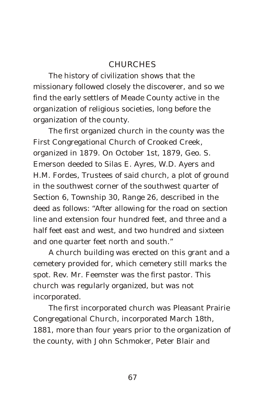#### **CHURCHES**

The history of civilization shows that the missionary followed closely the discoverer, and so we find the early settlers of Meade County active in the organization of religious societies, long before the organization of the county.

The first organized church in the county was the First Congregational Church of Crooked Creek, organized in 1879. On October 1st, 1879, Geo. S. Emerson deeded to Silas E. Ayres, W.D. Ayers and H.M. Fordes, Trustees of said church, a plot of ground in the southwest corner of the southwest quarter of Section 6, Township 30, Range 26, described in the deed as follows: "After allowing for the road on section line and extension four hundred feet, and three and a half feet east and west, and two hundred and sixteen and one quarter feet north and south."

A church building was erected on this grant and a cemetery provided for, which cemetery still marks the spot. Rev. Mr. Feemster was the first pastor. This church was regularly organized, but was not incorporated.

The first incorporated church was Pleasant Prairie Congregational Church, incorporated March 18th, 1881, more than four years prior to the organization of the county, with John Schmoker, Peter Blair and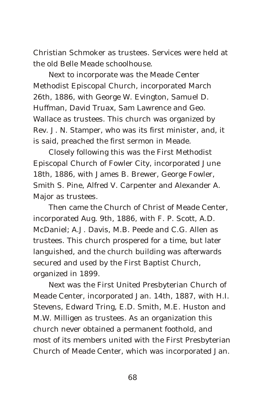Christian Schmoker as trustees. Services were held at the old Belle Meade schoolhouse.

Next to incorporate was the Meade Center Methodist Episcopal Church, incorporated March 26th, 1886, with George W. Evington, Samuel D. Huffman, David Truax, Sam Lawrence and Geo. Wallace as trustees. This church was organized by Rev. J. N. Stamper, who was its first minister, and, it is said, preached the first sermon in Meade.

Closely following this was the First Methodist Episcopal Church of Fowler City, incorporated June 18th, 1886, with James B. Brewer, George Fowler, Smith S. Pine, Alfred V. Carpenter and Alexander A. Major as trustees.

Then came the Church of Christ of Meade Center, incorporated Aug. 9th, 1886, with F. P. Scott, A.D. McDaniel; A.J. Davis, M.B. Peede and C.G. Allen as trustees. This church prospered for a time, but later languished, and the church building was afterwards secured and used by the First Baptist Church, organized in 1899.

Next was the First United Presbyterian Church of Meade Center, incorporated Jan. 14th, 1887, with H.I. Stevens, Edward Tring, E.D. Smith, M.E. Huston and M.W. Milligen as trustees. As an organization this church never obtained a permanent foothold, and most of its members united with the First Presbyterian Church of Meade Center, which was incorporated Jan.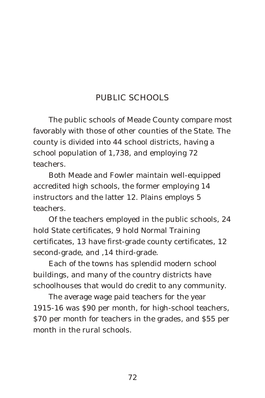## PUBLIC SCHOOLS

The public schools of Meade County compare most favorably with those of other counties of the State. The county is divided into 44 school districts, having a school population of 1,738, and employing 72 teachers.

Both Meade and Fowler maintain well-equipped accredited high schools, the former employing 14 instructors and the latter 12. Plains employs 5 teachers.

Of the teachers employed in the public schools, 24 hold State certificates, 9 hold Normal Training certificates, 13 have first-grade county certificates, 12 second-grade, and ,14 third-grade.

Each of the towns has splendid modern school buildings, and many of the country districts have schoolhouses that would do credit to any community.

The average wage paid teachers for the year 1915-16 was \$90 per month, for high-school teachers, \$70 per month for teachers in the grades, and \$55 per month in the rural schools.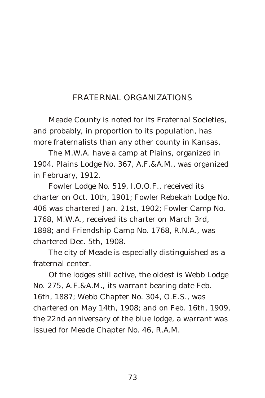## FRATERNAL ORGANIZATIONS

Meade County is noted for its Fraternal Societies, and probably, in proportion to its population, has more fraternalists than any other county in Kansas.

The M.W.A. have a camp at Plains, organized in 1904. Plains Lodge No. 367, A.F.&A.M., was organized in February, 1912.

Fowler Lodge No. 519, I.O.O.F., received its charter on Oct. 10th, 1901; Fowler Rebekah Lodge No. 406 was chartered Jan. 21st, 1902; Fowler Camp No. 1768, M.W.A., received its charter on March 3rd, 1898; and Friendship Camp No. 1768, R.N.A., was chartered Dec. 5th, 1908.

The city of Meade is especially distinguished as a fraternal center.

Of the lodges still active, the oldest is Webb Lodge No. 275, A.F.&A.M., its warrant bearing date Feb. 16th, 1887; Webb Chapter No. 304, O.E.S., was chartered on May 14th, 1908; and on Feb. 16th, 1909, the 22nd anniversary of the blue lodge, a warrant was issued for Meade Chapter No. 46, R.A.M.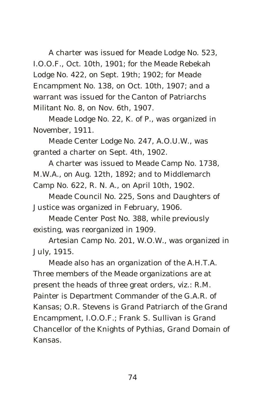A charter was issued for Meade Lodge No. 523, I.O.O.F., Oct. 10th, 1901; for the Meade Rebekah Lodge No. 422, on Sept. 19th; 1902; for Meade Encampment No. 138, on Oct. 10th, 1907; and a warrant was issued for the Canton of Patriarchs Militant No. 8, on Nov. 6th, 1907.

Meade Lodge No. 22, K. of P., was organized in November, 1911.

Meade Center Lodge No. 247, A.O.U.W., was granted a charter on Sept. 4th, 1902.

A charter was issued to Meade Camp No. 1738, M.W.A., on Aug. 12th, 1892; and to Middlemarch Camp No. 622, R. N. A., on April 10th, 1902.

Meade Council No. 225, Sons and Daughters of Justice was organized in February, 1906.

Meade Center Post No. 388, while previously existing, was reorganized in 1909.

Artesian Camp No. 201, W.O.W., was organized in July, 1915.

Meade also has an organization of the A.H.T.A. Three members of the Meade organizations are at present the heads of three great orders, viz.: R.M. Painter is Department Commander of the G.A.R. of Kansas; O.R. Stevens is Grand Patriarch of the Grand Encampment, I.O.O.F.; Frank S. Sullivan is Grand Chancellor of the Knights of Pythias, Grand Domain of Kansas.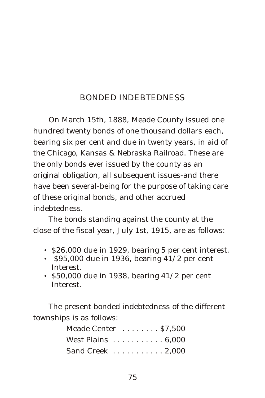### BONDED INDEBTEDNESS

On March 15th, 1888, Meade County issued one hundred twenty bonds of one thousand dollars each, bearing six per cent and due in twenty years, in aid of the Chicago, Kansas & Nebraska Railroad. These are the only bonds ever issued by the county as an original obligation, all subsequent issues-and there have been several-being for the purpose of taking care of these original bonds, and other accrued indebtedness.

The bonds standing against the county at the close of the fiscal year, July 1st, 1915, are as follows:

- \$26,000 due in 1929, bearing 5 per cent interest.
- $$95,000$  due in 1936, bearing 41/2 per cent Interest.
- \$50,000 due in 1938, bearing  $41/2$  per cent Interest.

The present bonded indebtedness of the different townships is as follows:

| Meade Center \$7,500                        |  |  |  |  |  |
|---------------------------------------------|--|--|--|--|--|
| West Plains $\dots \dots \dots \dots 6,000$ |  |  |  |  |  |
| Sand Creek $\ldots \ldots \ldots 2,000$     |  |  |  |  |  |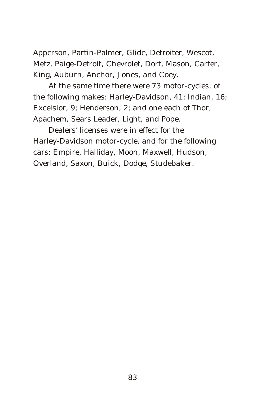Apperson, Partin-Palmer, Glide, Detroiter, Wescot, Metz, Paige-Detroit, Chevrolet, Dort, Mason, Carter, King, Auburn, Anchor, Jones, and Coey.

At the same time there were 73 motor-cycles, of the following makes: Harley-Davidson, 41; Indian, 16; Excelsior, 9; Henderson, 2; and one each of Thor, Apachem, Sears Leader, Light, and Pope.

Dealers' licenses were in effect for the Harley-Davidson motor-cycle, and for the following cars: Empire, Halliday, Moon, Maxwell, Hudson, Overland, Saxon, Buick, Dodge, Studebaker.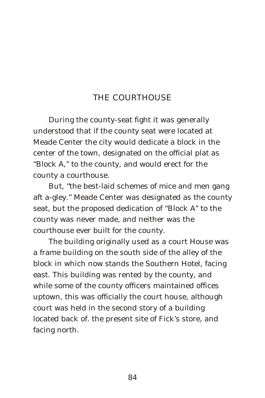#### THE COURTHOUSE

During the county-seat fight it was generally understood that if the county seat were located at Meade Center the city would dedicate a block in the center of the town, designated on the official plat as "Block A," to the county, and would erect for the county a courthouse.

But, "the best-laid schemes of mice and men gang aft a-gley." Meade Center was designated as the county seat, but the proposed dedication of "Block A" to the county was never made, and neither was the courthouse ever built for the county.

The building originally used as a court House was a frame building on the south side of the alley of the block in which now stands the Southern Hotel, facing east. This building was rented by the county, and while some of the county officers maintained offices uptown, this was officially the court house, although court was held in the second story of a building located back of. the present site of Fick's store, and facing north.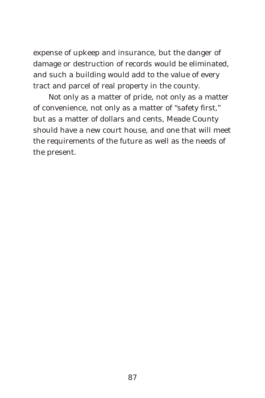expense of upkeep and insurance, but the danger of damage or destruction of records would be eliminated, and such a building would add to the value of every tract and parcel of real property in the county.

Not only as a matter of pride, not only as a matter of convenience, not only as a matter of "safety first," but as a matter of dollars and cents, Meade County should have a new court house, and one that will meet the requirements of the future as well as the needs of the present.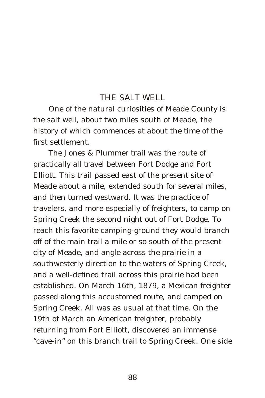#### THE SALT WELL

One of the natural curiosities of Meade County is the salt well, about two miles south of Meade, the history of which commences at about the time of the first settlement.

The Jones & Plummer trail was the route of practically all travel between Fort Dodge and Fort Elliott. This trail passed east of the present site of Meade about a mile, extended south for several miles, and then turned westward. It was the practice of travelers, and more especially of freighters, to camp on Spring Creek the second night out of Fort Dodge. To reach this favorite camping-ground they would branch off of the main trail a mile or so south of the present city of Meade, and angle across the prairie in a southwesterly direction to the waters of Spring Creek, and a well-defined trail across this prairie had been established. On March 16th, 1879, a Mexican freighter passed along this accustomed route, and camped on Spring Creek. All was as usual at that time. On the 19th of March an American freighter, probably returning from Fort Elliott, discovered an immense "cave-in" on this branch trail to Spring Creek. One side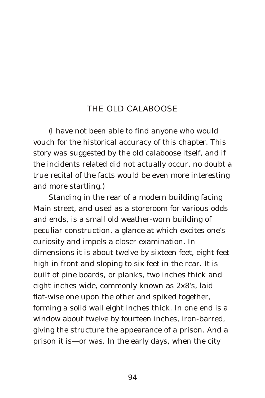#### THE OLD CALABOOSE

(I have not been able to find anyone who would vouch for the historical accuracy of this chapter. This story was suggested by the old calaboose itself, and if the incidents related did not actually occur, no doubt a true recital of the facts would be even more interesting and more startling.)

Standing in the rear of a modern building facing Main street, and used as a storeroom for various odds and ends, is a small old weather-worn building of peculiar construction, a glance at which excites one's curiosity and impels a closer examination. In dimensions it is about twelve by sixteen feet, eight feet high in front and sloping to six feet in the rear. It is built of pine boards, or planks, two inches thick and eight inches wide, commonly known as 2x8's, laid flat-wise one upon the other and spiked together, forming a solid wall eight inches thick. In one end is a window about twelve by fourteen inches, iron-barred, giving the structure the appearance of a prison. And a prison it is—or was. In the early days, when the city